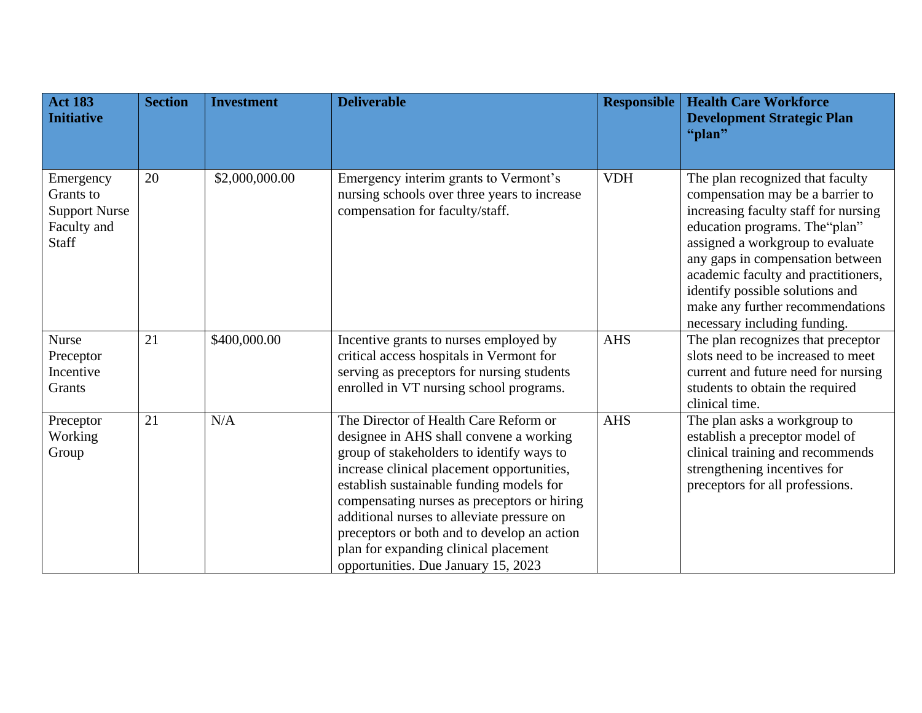| <b>Act 183</b><br><b>Initiative</b>                                    | <b>Section</b> | <b>Investment</b> | <b>Deliverable</b>                                                                                                                                                                                                                                                                                                                                                                                                                                  | <b>Responsible</b> | <b>Health Care Workforce</b><br><b>Development Strategic Plan</b><br>"plan"                                                                                                                                                                                                                                                                                          |
|------------------------------------------------------------------------|----------------|-------------------|-----------------------------------------------------------------------------------------------------------------------------------------------------------------------------------------------------------------------------------------------------------------------------------------------------------------------------------------------------------------------------------------------------------------------------------------------------|--------------------|----------------------------------------------------------------------------------------------------------------------------------------------------------------------------------------------------------------------------------------------------------------------------------------------------------------------------------------------------------------------|
| Emergency<br>Grants to<br><b>Support Nurse</b><br>Faculty and<br>Staff | 20             | \$2,000,000.00    | Emergency interim grants to Vermont's<br>nursing schools over three years to increase<br>compensation for faculty/staff.                                                                                                                                                                                                                                                                                                                            | <b>VDH</b>         | The plan recognized that faculty<br>compensation may be a barrier to<br>increasing faculty staff for nursing<br>education programs. The "plan"<br>assigned a workgroup to evaluate<br>any gaps in compensation between<br>academic faculty and practitioners,<br>identify possible solutions and<br>make any further recommendations<br>necessary including funding. |
| <b>Nurse</b><br>Preceptor<br>Incentive<br>Grants                       | 21             | \$400,000.00      | Incentive grants to nurses employed by<br>critical access hospitals in Vermont for<br>serving as preceptors for nursing students<br>enrolled in VT nursing school programs.                                                                                                                                                                                                                                                                         | <b>AHS</b>         | The plan recognizes that preceptor<br>slots need to be increased to meet<br>current and future need for nursing<br>students to obtain the required<br>clinical time.                                                                                                                                                                                                 |
| Preceptor<br>Working<br>Group                                          | 21             | N/A               | The Director of Health Care Reform or<br>designee in AHS shall convene a working<br>group of stakeholders to identify ways to<br>increase clinical placement opportunities,<br>establish sustainable funding models for<br>compensating nurses as preceptors or hiring<br>additional nurses to alleviate pressure on<br>preceptors or both and to develop an action<br>plan for expanding clinical placement<br>opportunities. Due January 15, 2023 | <b>AHS</b>         | The plan asks a workgroup to<br>establish a preceptor model of<br>clinical training and recommends<br>strengthening incentives for<br>preceptors for all professions.                                                                                                                                                                                                |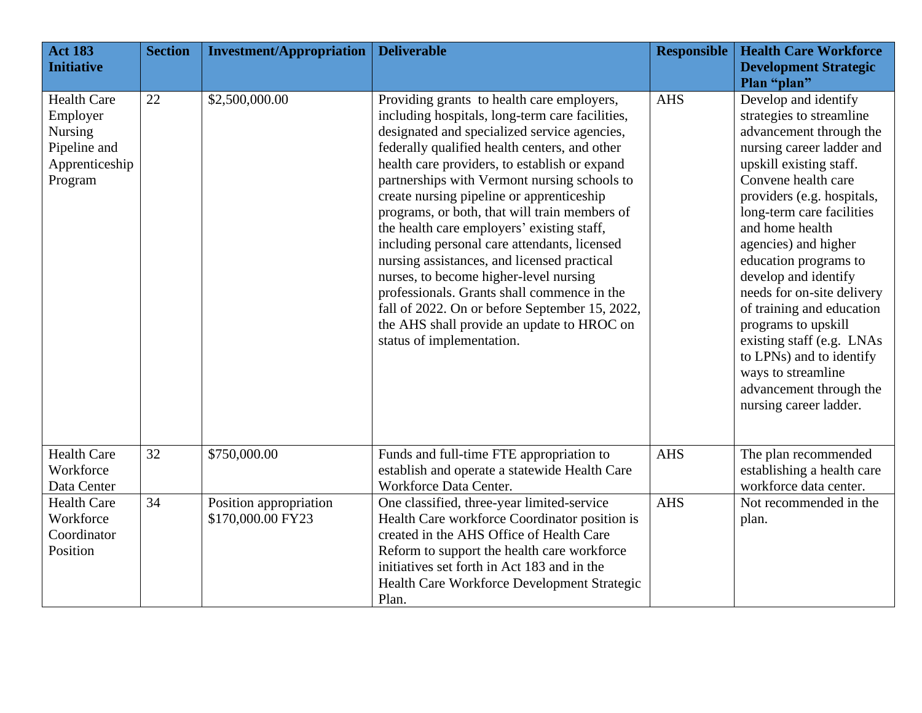| <b>Act 183</b><br><b>Initiative</b>                                                           | <b>Section</b> | <b>Investment/Appropriation</b>             | <b>Deliverable</b>                                                                                                                                                                                                                                                                                                                                                                                                                                                                                                                                                                                                                                                                                                                                               | <b>Responsible</b> | <b>Health Care Workforce</b><br><b>Development Strategic</b>                                                                                                                                                                                                                                                                                                                                                                                                                                                                                           |
|-----------------------------------------------------------------------------------------------|----------------|---------------------------------------------|------------------------------------------------------------------------------------------------------------------------------------------------------------------------------------------------------------------------------------------------------------------------------------------------------------------------------------------------------------------------------------------------------------------------------------------------------------------------------------------------------------------------------------------------------------------------------------------------------------------------------------------------------------------------------------------------------------------------------------------------------------------|--------------------|--------------------------------------------------------------------------------------------------------------------------------------------------------------------------------------------------------------------------------------------------------------------------------------------------------------------------------------------------------------------------------------------------------------------------------------------------------------------------------------------------------------------------------------------------------|
| <b>Health Care</b><br>Employer<br><b>Nursing</b><br>Pipeline and<br>Apprenticeship<br>Program | 22             | \$2,500,000.00                              | Providing grants to health care employers,<br>including hospitals, long-term care facilities,<br>designated and specialized service agencies,<br>federally qualified health centers, and other<br>health care providers, to establish or expand<br>partnerships with Vermont nursing schools to<br>create nursing pipeline or apprenticeship<br>programs, or both, that will train members of<br>the health care employers' existing staff,<br>including personal care attendants, licensed<br>nursing assistances, and licensed practical<br>nurses, to become higher-level nursing<br>professionals. Grants shall commence in the<br>fall of 2022. On or before September 15, 2022,<br>the AHS shall provide an update to HROC on<br>status of implementation. | <b>AHS</b>         | Plan "plan"<br>Develop and identify<br>strategies to streamline<br>advancement through the<br>nursing career ladder and<br>upskill existing staff.<br>Convene health care<br>providers (e.g. hospitals,<br>long-term care facilities<br>and home health<br>agencies) and higher<br>education programs to<br>develop and identify<br>needs for on-site delivery<br>of training and education<br>programs to upskill<br>existing staff (e.g. LNAs<br>to LPNs) and to identify<br>ways to streamline<br>advancement through the<br>nursing career ladder. |
| <b>Health Care</b><br>Workforce<br>Data Center                                                | 32             | \$750,000.00                                | Funds and full-time FTE appropriation to<br>establish and operate a statewide Health Care<br>Workforce Data Center.                                                                                                                                                                                                                                                                                                                                                                                                                                                                                                                                                                                                                                              | <b>AHS</b>         | The plan recommended<br>establishing a health care<br>workforce data center.                                                                                                                                                                                                                                                                                                                                                                                                                                                                           |
| <b>Health Care</b><br>Workforce<br>Coordinator<br>Position                                    | 34             | Position appropriation<br>\$170,000.00 FY23 | One classified, three-year limited-service<br>Health Care workforce Coordinator position is<br>created in the AHS Office of Health Care<br>Reform to support the health care workforce<br>initiatives set forth in Act 183 and in the<br>Health Care Workforce Development Strategic<br>Plan.                                                                                                                                                                                                                                                                                                                                                                                                                                                                    | <b>AHS</b>         | Not recommended in the<br>plan.                                                                                                                                                                                                                                                                                                                                                                                                                                                                                                                        |